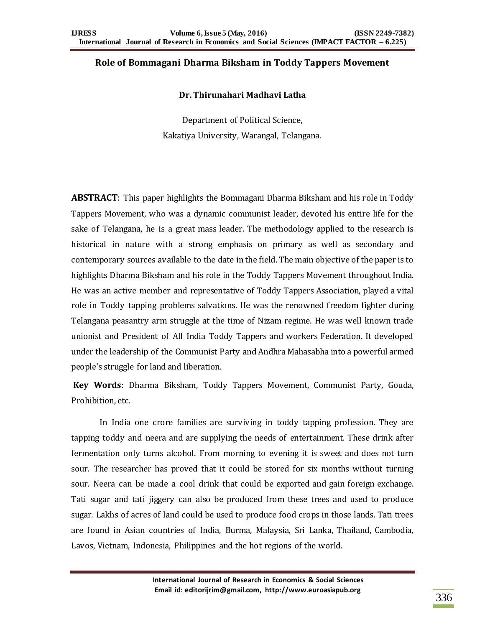## **Role of Bommagani Dharma Biksham in Toddy Tappers Movement**

### **Dr. Thirunahari Madhavi Latha**

Department of Political Science, Kakatiya University, Warangal, Telangana.

**ABSTRACT**: This paper highlights the Bommagani Dharma Biksham and his role in Toddy Tappers Movement, who was a dynamic communist leader, devoted his entire life for the sake of Telangana, he is a great mass leader. The methodology applied to the research is historical in nature with a strong emphasis on primary as well as secondary and contemporary sources available to the date in the field. The main objective of the paper is to highlights Dharma Biksham and his role in the Toddy Tappers Movement throughout India. He was an active member and representative of Toddy Tappers Association, played a vital role in Toddy tapping problems salvations. He was the renowned freedom fighter during Telangana peasantry arm struggle at the time of Nizam regime. He was well known trade unionist and President of All India Toddy Tappers and workers Federation. It developed under the leadership of the Communist Party and Andhra Mahasabha into a powerful armed people's struggle for land and liberation.

**Key Words**: Dharma Biksham, Toddy Tappers Movement, Communist Party, Gouda, Prohibition, etc.

In India one crore families are surviving in toddy tapping profession. They are tapping toddy and neera and are supplying the needs of entertainment. These drink after fermentation only turns alcohol. From morning to evening it is sweet and does not turn sour. The researcher has proved that it could be stored for six months without turning sour. Neera can be made a cool drink that could be exported and gain foreign exchange. Tati sugar and tati jiggery can also be produced from these trees and used to produce sugar. Lakhs of acres of land could be used to produce food crops in those lands. Tati trees are found in Asian countries of India, Burma, Malaysia, Sri Lanka, Thailand, Cambodia, Lavos, Vietnam, Indonesia, Philippines and the hot regions of the world.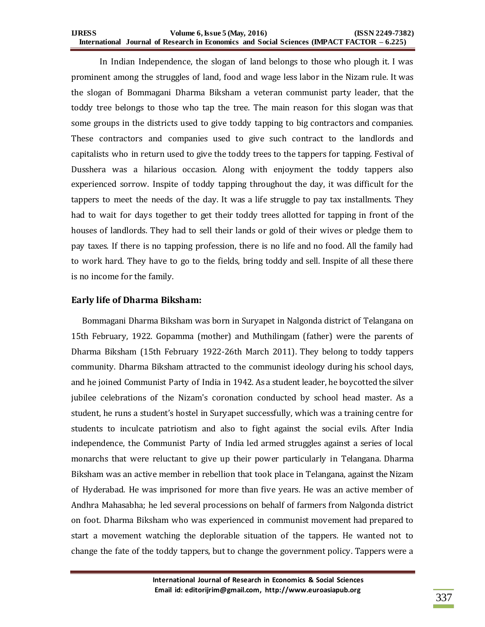#### **IJRESS Volume 6, Issue 5 (May, 2016) (ISSN 2249-7382) International Journal of Research in Economics and Social Sciences (IMPACT FACTOR – 6.225)**

In Indian Independence, the slogan of land belongs to those who plough it. I was prominent among the struggles of land, food and wage less labor in the Nizam rule. It was the slogan of Bommagani Dharma Biksham a veteran communist party leader, that the toddy tree belongs to those who tap the tree. The main reason for this slogan was that some groups in the districts used to give toddy tapping to big contractors and companies. These contractors and companies used to give such contract to the landlords and capitalists who in return used to give the toddy trees to the tappers for tapping. Festival of Dusshera was a hilarious occasion. Along with enjoyment the toddy tappers also experienced sorrow. Inspite of toddy tapping throughout the day, it was difficult for the tappers to meet the needs of the day. It was a life struggle to pay tax installments. They had to wait for days together to get their toddy trees allotted for tapping in front of the houses of landlords. They had to sell their lands or gold of their wives or pledge them to pay taxes. If there is no tapping profession, there is no life and no food. All the family had to work hard. They have to go to the fields, bring toddy and sell. Inspite of all these there is no income for the family.

## **Early life of Dharma Biksham:**

Bommagani Dharma Biksham was born in Suryapet in Nalgonda district of Telangana on 15th February, 1922. Gopamma (mother) and Muthilingam (father) were the parents of Dharma Biksham (15th February 1922-26th March 2011). They belong to toddy tappers community. Dharma Biksham attracted to the communist ideology during his school days, and he joined Communist Party of India in 1942. As a student leader, he boycotted the silver jubilee celebrations of the Nizam's coronation conducted by school head master. As a student, he runs a student's hostel in Suryapet successfully, which was a training centre for students to inculcate patriotism and also to fight against the social evils. After India independence, the Communist Party of India led armed struggles against a series of local monarchs that were reluctant to give up their power particularly in Telangana. Dharma Biksham was an active member in rebellion that took place in Telangana, against the Nizam of Hyderabad. He was imprisoned for more than five years. He was an active member of Andhra Mahasabha; he led several processions on behalf of farmers from Nalgonda district on foot. Dharma Biksham who was experienced in communist movement had prepared to start a movement watching the deplorable situation of the tappers. He wanted not to change the fate of the toddy tappers, but to change the government policy. Tappers were a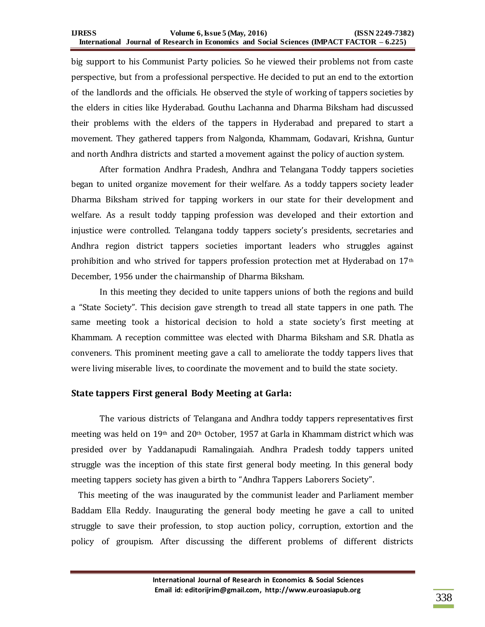big support to his Communist Party policies. So he viewed their problems not from caste perspective, but from a professional perspective. He decided to put an end to the extortion of the landlords and the officials. He observed the style of working of tappers societies by the elders in cities like Hyderabad. Gouthu Lachanna and Dharma Biksham had discussed their problems with the elders of the tappers in Hyderabad and prepared to start a movement. They gathered tappers from Nalgonda, Khammam, Godavari, Krishna, Guntur and north Andhra districts and started a movement against the policy of auction system.

After formation Andhra Pradesh, Andhra and Telangana Toddy tappers societies began to united organize movement for their welfare. As a toddy tappers society leader Dharma Biksham strived for tapping workers in our state for their development and welfare. As a result toddy tapping profession was developed and their extortion and injustice were controlled. Telangana toddy tappers society's presidents, secretaries and Andhra region district tappers societies important leaders who struggles against prohibition and who strived for tappers profession protection met at Hyderabad on 17<sup>th</sup> December, 1956 under the chairmanship of Dharma Biksham.

In this meeting they decided to unite tappers unions of both the regions and build a "State Society". This decision gave strength to tread all state tappers in one path. The same meeting took a historical decision to hold a state society's first meeting at Khammam. A reception committee was elected with Dharma Biksham and S.R. Dhatla as conveners. This prominent meeting gave a call to ameliorate the toddy tappers lives that were living miserable lives, to coordinate the movement and to build the state society.

## **State tappers First general Body Meeting at Garla:**

The various districts of Telangana and Andhra toddy tappers representatives first meeting was held on  $19<sup>th</sup>$  and  $20<sup>th</sup>$  October, 1957 at Garla in Khammam district which was presided over by Yaddanapudi Ramalingaiah. Andhra Pradesh toddy tappers united struggle was the inception of this state first general body meeting. In this general body meeting tappers society has given a birth to "Andhra Tappers Laborers Society".

 This meeting of the was inaugurated by the communist leader and Parliament member Baddam Ella Reddy. Inaugurating the general body meeting he gave a call to united struggle to save their profession, to stop auction policy, corruption, extortion and the policy of groupism. After discussing the different problems of different districts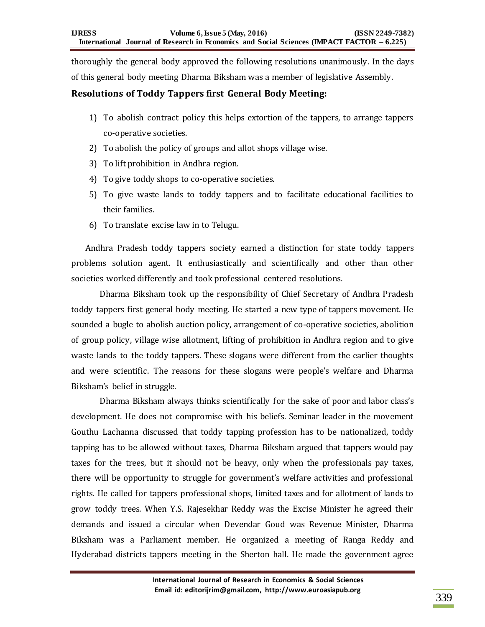thoroughly the general body approved the following resolutions unanimously. In the days of this general body meeting Dharma Biksham was a member of legislative Assembly.

# **Resolutions of Toddy Tappers first General Body Meeting:**

- 1) To abolish contract policy this helps extortion of the tappers, to arrange tappers co-operative societies.
- 2) To abolish the policy of groups and allot shops village wise.
- 3) To lift prohibition in Andhra region.
- 4) To give toddy shops to co-operative societies.
- 5) To give waste lands to toddy tappers and to facilitate educational facilities to their families.
- 6) To translate excise law in to Telugu.

Andhra Pradesh toddy tappers society earned a distinction for state toddy tappers problems solution agent. It enthusiastically and scientifically and other than other societies worked differently and took professional centered resolutions.

Dharma Biksham took up the responsibility of Chief Secretary of Andhra Pradesh toddy tappers first general body meeting. He started a new type of tappers movement. He sounded a bugle to abolish auction policy, arrangement of co-operative societies, abolition of group policy, village wise allotment, lifting of prohibition in Andhra region and to give waste lands to the toddy tappers. These slogans were different from the earlier thoughts and were scientific. The reasons for these slogans were people's welfare and Dharma Biksham's belief in struggle.

Dharma Biksham always thinks scientifically for the sake of poor and labor class's development. He does not compromise with his beliefs. Seminar leader in the movement Gouthu Lachanna discussed that toddy tapping profession has to be nationalized, toddy tapping has to be allowed without taxes, Dharma Biksham argued that tappers would pay taxes for the trees, but it should not be heavy, only when the professionals pay taxes, there will be opportunity to struggle for government's welfare activities and professional rights. He called for tappers professional shops, limited taxes and for allotment of lands to grow toddy trees. When Y.S. Rajesekhar Reddy was the Excise Minister he agreed their demands and issued a circular when Devendar Goud was Revenue Minister, Dharma Biksham was a Parliament member. He organized a meeting of Ranga Reddy and Hyderabad districts tappers meeting in the Sherton hall. He made the government agree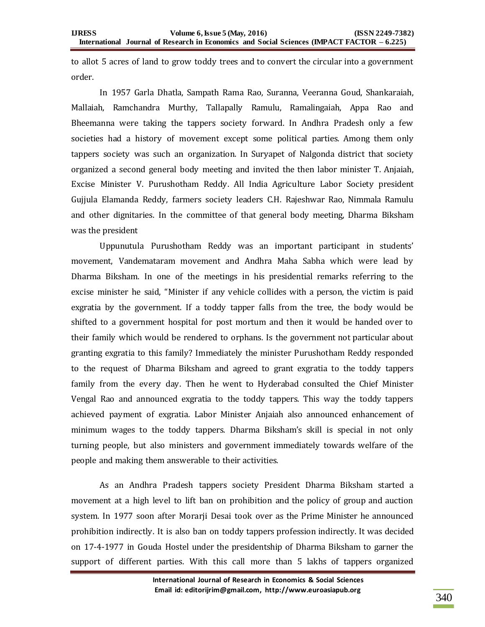to allot 5 acres of land to grow toddy trees and to convert the circular into a government order.

In 1957 Garla Dhatla, Sampath Rama Rao, Suranna, Veeranna Goud, Shankaraiah, Mallaiah, Ramchandra Murthy, Tallapally Ramulu, Ramalingaiah, Appa Rao and Bheemanna were taking the tappers society forward. In Andhra Pradesh only a few societies had a history of movement except some political parties. Among them only tappers society was such an organization. In Suryapet of Nalgonda district that society organized a second general body meeting and invited the then labor minister T. Anjaiah, Excise Minister V. Purushotham Reddy. All India Agriculture Labor Society president Gujjula Elamanda Reddy, farmers society leaders C.H. Rajeshwar Rao, Nimmala Ramulu and other dignitaries. In the committee of that general body meeting, Dharma Biksham was the president

Uppunutula Purushotham Reddy was an important participant in students' movement, Vandemataram movement and Andhra Maha Sabha which were lead by Dharma Biksham. In one of the meetings in his presidential remarks referring to the excise minister he said, "Minister if any vehicle collides with a person, the victim is paid exgratia by the government. If a toddy tapper falls from the tree, the body would be shifted to a government hospital for post mortum and then it would be handed over to their family which would be rendered to orphans. Is the government not particular about granting exgratia to this family? Immediately the minister Purushotham Reddy responded to the request of Dharma Biksham and agreed to grant exgratia to the toddy tappers family from the every day. Then he went to Hyderabad consulted the Chief Minister Vengal Rao and announced exgratia to the toddy tappers. This way the toddy tappers achieved payment of exgratia. Labor Minister Anjaiah also announced enhancement of minimum wages to the toddy tappers. Dharma Biksham's skill is special in not only turning people, but also ministers and government immediately towards welfare of the people and making them answerable to their activities.

As an Andhra Pradesh tappers society President Dharma Biksham started a movement at a high level to lift ban on prohibition and the policy of group and auction system. In 1977 soon after Morarji Desai took over as the Prime Minister he announced prohibition indirectly. It is also ban on toddy tappers profession indirectly. It was decided on 17-4-1977 in Gouda Hostel under the presidentship of Dharma Biksham to garner the support of different parties. With this call more than 5 lakhs of tappers organized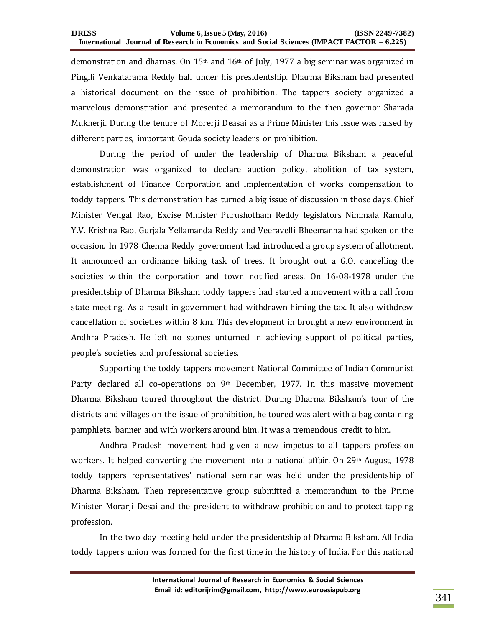demonstration and dharnas. On 15<sup>th</sup> and 16<sup>th</sup> of July, 1977 a big seminar was organized in Pingili Venkatarama Reddy hall under his presidentship. Dharma Biksham had presented a historical document on the issue of prohibition. The tappers society organized a marvelous demonstration and presented a memorandum to the then governor Sharada Mukherji. During the tenure of Morerji Deasai as a Prime Minister this issue was raised by different parties, important Gouda society leaders on prohibition.

During the period of under the leadership of Dharma Biksham a peaceful demonstration was organized to declare auction policy, abolition of tax system, establishment of Finance Corporation and implementation of works compensation to toddy tappers. This demonstration has turned a big issue of discussion in those days. Chief Minister Vengal Rao, Excise Minister Purushotham Reddy legislators Nimmala Ramulu, Y.V. Krishna Rao, Gurjala Yellamanda Reddy and Veeravelli Bheemanna had spoken on the occasion. In 1978 Chenna Reddy government had introduced a group system of allotment. It announced an ordinance hiking task of trees. It brought out a G.O. cancelling the societies within the corporation and town notified areas. On 16-08-1978 under the presidentship of Dharma Biksham toddy tappers had started a movement with a call from state meeting. As a result in government had withdrawn himing the tax. It also withdrew cancellation of societies within 8 km. This development in brought a new environment in Andhra Pradesh. He left no stones unturned in achieving support of political parties, people's societies and professional societies.

Supporting the toddy tappers movement National Committee of Indian Communist Party declared all co-operations on 9<sup>th</sup> December, 1977. In this massive movement Dharma Biksham toured throughout the district. During Dharma Biksham's tour of the districts and villages on the issue of prohibition, he toured was alert with a bag containing pamphlets, banner and with workers around him. It was a tremendous credit to him.

Andhra Pradesh movement had given a new impetus to all tappers profession workers. It helped converting the movement into a national affair. On  $29<sup>th</sup>$  August, 1978 toddy tappers representatives' national seminar was held under the presidentship of Dharma Biksham. Then representative group submitted a memorandum to the Prime Minister Morarji Desai and the president to withdraw prohibition and to protect tapping profession.

In the two day meeting held under the presidentship of Dharma Biksham. All India toddy tappers union was formed for the first time in the history of India. For this national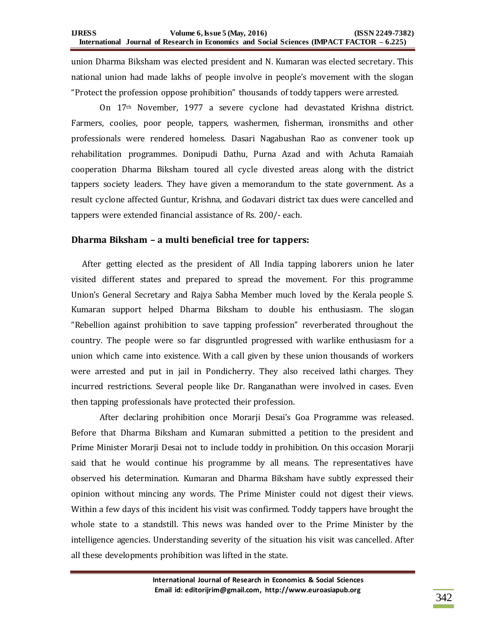union Dharma Biksham was elected president and N. Kumaran was elected secretary. This national union had made lakhs of people involve in people's movement with the slogan "Protect the profession oppose prohibition" thousands of toddy tappers were arrested.

On 17th November, 1977 a severe cyclone had devastated Krishna district. Farmers, coolies, poor people, tappers, washermen, fisherman, ironsmiths and other professionals were rendered homeless. Dasari Nagabushan Rao as convener took up rehabilitation programmes. Donipudi Dathu, Purna Azad and with Achuta Ramaiah cooperation Dharma Biksham toured all cycle divested areas along with the district tappers society leaders. They have given a memorandum to the state government. As a result cyclone affected Guntur, Krishna, and Godavari district tax dues were cancelled and tappers were extended financial assistance of Rs. 200/- each.

## **Dharma Biksham – a multi beneficial tree for tappers:**

 After getting elected as the president of All India tapping laborers union he later visited different states and prepared to spread the movement. For this programme Union's General Secretary and Rajya Sabha Member much loved by the Kerala people S. Kumaran support helped Dharma Biksham to double his enthusiasm. The slogan "Rebellion against prohibition to save tapping profession" reverberated throughout the country. The people were so far disgruntled progressed with warlike enthusiasm for a union which came into existence. With a call given by these union thousands of workers were arrested and put in jail in Pondicherry. They also received lathi charges. They incurred restrictions. Several people like Dr. Ranganathan were involved in cases. Even then tapping professionals have protected their profession.

After declaring prohibition once Morarji Desai's Goa Programme was released. Before that Dharma Biksham and Kumaran submitted a petition to the president and Prime Minister Morarji Desai not to include toddy in prohibition. On this occasion Morarji said that he would continue his programme by all means. The representatives have observed his determination. Kumaran and Dharma Biksham have subtly expressed their opinion without mincing any words. The Prime Minister could not digest their views. Within a few days of this incident his visit was confirmed. Toddy tappers have brought the whole state to a standstill. This news was handed over to the Prime Minister by the intelligence agencies. Understanding severity of the situation his visit was cancelled. After all these developments prohibition was lifted in the state.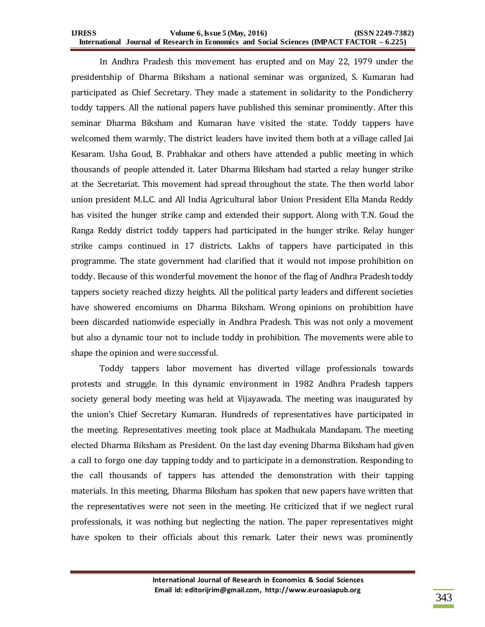#### **IJRESS Volume 6, Issue 5 (May, 2016) (ISSN 2249-7382) International Journal of Research in Economics and Social Sciences (IMPACT FACTOR – 6.225)**

In Andhra Pradesh this movement has erupted and on May 22, 1979 under the presidentship of Dharma Biksham a national seminar was organized, S. Kumaran had participated as Chief Secretary. They made a statement in solidarity to the Pondicherry toddy tappers. All the national papers have published this seminar prominently. After this seminar Dharma Biksham and Kumaran have visited the state. Toddy tappers have welcomed them warmly. The district leaders have invited them both at a village called Jai Kesaram. Usha Goud, B. Prabhakar and others have attended a public meeting in which thousands of people attended it. Later Dharma Biksham had started a relay hunger strike at the Secretariat. This movement had spread throughout the state. The then world labor union president M.L.C. and All India Agricultural labor Union President Ella Manda Reddy has visited the hunger strike camp and extended their support. Along with T.N. Goud the Ranga Reddy district toddy tappers had participated in the hunger strike. Relay hunger strike camps continued in 17 districts. Lakhs of tappers have participated in this programme. The state government had clarified that it would not impose prohibition on toddy. Because of this wonderful movement the honor of the flag of Andhra Pradesh toddy tappers society reached dizzy heights. All the political party leaders and different societies have showered encomiums on Dharma Biksham. Wrong opinions on prohibition have been discarded nationwide especially in Andhra Pradesh. This was not only a movement but also a dynamic tour not to include toddy in prohibition. The movements were able to shape the opinion and were successful.

Toddy tappers labor movement has diverted village professionals towards protests and struggle. In this dynamic environment in 1982 Andhra Pradesh tappers society general body meeting was held at Vijayawada. The meeting was inaugurated by the union's Chief Secretary Kumaran. Hundreds of representatives have participated in the meeting. Representatives meeting took place at Madhukala Mandapam. The meeting elected Dharma Biksham as President. On the last day evening Dharma Biksham had given a call to forgo one day tapping toddy and to participate in a demonstration. Responding to the call thousands of tappers has attended the demonstration with their tapping materials. In this meeting, Dharma Biksham has spoken that new papers have written that the representatives were not seen in the meeting. He criticized that if we neglect rural professionals, it was nothing but neglecting the nation. The paper representatives might have spoken to their officials about this remark. Later their news was prominently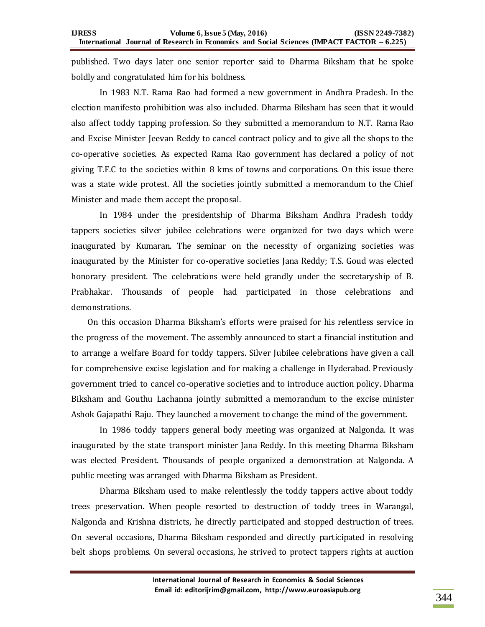published. Two days later one senior reporter said to Dharma Biksham that he spoke boldly and congratulated him for his boldness.

In 1983 N.T. Rama Rao had formed a new government in Andhra Pradesh. In the election manifesto prohibition was also included. Dharma Biksham has seen that it would also affect toddy tapping profession. So they submitted a memorandum to N.T. Rama Rao and Excise Minister Jeevan Reddy to cancel contract policy and to give all the shops to the co-operative societies. As expected Rama Rao government has declared a policy of not giving T.F.C to the societies within 8 kms of towns and corporations. On this issue there was a state wide protest. All the societies jointly submitted a memorandum to the Chief Minister and made them accept the proposal.

In 1984 under the presidentship of Dharma Biksham Andhra Pradesh toddy tappers societies silver jubilee celebrations were organized for two days which were inaugurated by Kumaran. The seminar on the necessity of organizing societies was inaugurated by the Minister for co-operative societies Jana Reddy; T.S. Goud was elected honorary president. The celebrations were held grandly under the secretaryship of B. Prabhakar. Thousands of people had participated in those celebrations and demonstrations.

 On this occasion Dharma Biksham's efforts were praised for his relentless service in the progress of the movement. The assembly announced to start a financial institution and to arrange a welfare Board for toddy tappers. Silver Jubilee celebrations have given a call for comprehensive excise legislation and for making a challenge in Hyderabad. Previously government tried to cancel co-operative societies and to introduce auction policy. Dharma Biksham and Gouthu Lachanna jointly submitted a memorandum to the excise minister Ashok Gajapathi Raju. They launched a movement to change the mind of the government.

In 1986 toddy tappers general body meeting was organized at Nalgonda. It was inaugurated by the state transport minister Jana Reddy. In this meeting Dharma Biksham was elected President. Thousands of people organized a demonstration at Nalgonda. A public meeting was arranged with Dharma Biksham as President.

Dharma Biksham used to make relentlessly the toddy tappers active about toddy trees preservation. When people resorted to destruction of toddy trees in Warangal, Nalgonda and Krishna districts, he directly participated and stopped destruction of trees. On several occasions, Dharma Biksham responded and directly participated in resolving belt shops problems. On several occasions, he strived to protect tappers rights at auction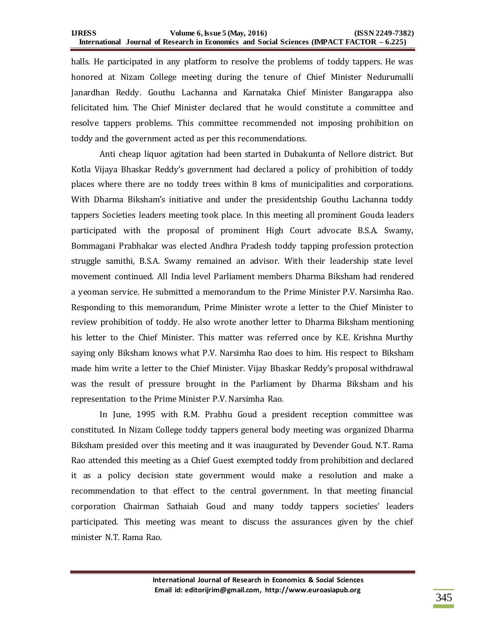halls. He participated in any platform to resolve the problems of toddy tappers. He was honored at Nizam College meeting during the tenure of Chief Minister Nedurumalli Janardhan Reddy. Gouthu Lachanna and Karnataka Chief Minister Bangarappa also felicitated him. The Chief Minister declared that he would constitute a committee and resolve tappers problems. This committee recommended not imposing prohibition on toddy and the government acted as per this recommendations.

Anti cheap liquor agitation had been started in Dubakunta of Nellore district. But Kotla Vijaya Bhaskar Reddy's government had declared a policy of prohibition of toddy places where there are no toddy trees within 8 kms of municipalities and corporations. With Dharma Biksham's initiative and under the presidentship Gouthu Lachanna toddy tappers Societies leaders meeting took place. In this meeting all prominent Gouda leaders participated with the proposal of prominent High Court advocate B.S.A. Swamy, Bommagani Prabhakar was elected Andhra Pradesh toddy tapping profession protection struggle samithi, B.S.A. Swamy remained an advisor. With their leadership state level movement continued. All India level Parliament members Dharma Biksham had rendered a yeoman service. He submitted a memorandum to the Prime Minister P.V. Narsimha Rao. Responding to this memorandum, Prime Minister wrote a letter to the Chief Minister to review prohibition of toddy. He also wrote another letter to Dharma Biksham mentioning his letter to the Chief Minister. This matter was referred once by K.E. Krishna Murthy saying only Biksham knows what P.V. Narsimha Rao does to him. His respect to Biksham made him write a letter to the Chief Minister. Vijay Bhaskar Reddy's proposal withdrawal was the result of pressure brought in the Parliament by Dharma Biksham and his representation to the Prime Minister P.V. Narsimha Rao.

In June, 1995 with R.M. Prabhu Goud a president reception committee was constituted. In Nizam College toddy tappers general body meeting was organized Dharma Biksham presided over this meeting and it was inaugurated by Devender Goud. N.T. Rama Rao attended this meeting as a Chief Guest exempted toddy from prohibition and declared it as a policy decision state government would make a resolution and make a recommendation to that effect to the central government. In that meeting financial corporation Chairman Sathaiah Goud and many toddy tappers societies' leaders participated. This meeting was meant to discuss the assurances given by the chief minister N.T. Rama Rao.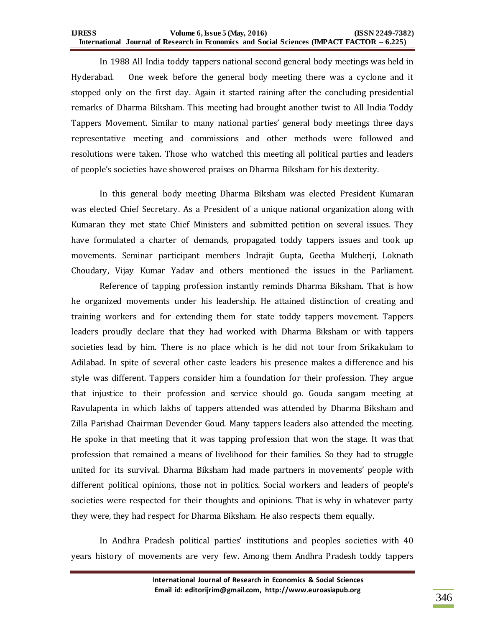In 1988 All India toddy tappers national second general body meetings was held in Hyderabad. One week before the general body meeting there was a cyclone and it stopped only on the first day. Again it started raining after the concluding presidential remarks of Dharma Biksham. This meeting had brought another twist to All India Toddy Tappers Movement. Similar to many national parties' general body meetings three days representative meeting and commissions and other methods were followed and resolutions were taken. Those who watched this meeting all political parties and leaders of people's societies have showered praises on Dharma Biksham for his dexterity.

In this general body meeting Dharma Biksham was elected President Kumaran was elected Chief Secretary. As a President of a unique national organization along with Kumaran they met state Chief Ministers and submitted petition on several issues. They have formulated a charter of demands, propagated toddy tappers issues and took up movements. Seminar participant members Indrajit Gupta, Geetha Mukherji, Loknath Choudary, Vijay Kumar Yadav and others mentioned the issues in the Parliament.

Reference of tapping profession instantly reminds Dharma Biksham. That is how he organized movements under his leadership. He attained distinction of creating and training workers and for extending them for state toddy tappers movement. Tappers leaders proudly declare that they had worked with Dharma Biksham or with tappers societies lead by him. There is no place which is he did not tour from Srikakulam to Adilabad. In spite of several other caste leaders his presence makes a difference and his style was different. Tappers consider him a foundation for their profession. They argue that injustice to their profession and service should go. Gouda sangam meeting at Ravulapenta in which lakhs of tappers attended was attended by Dharma Biksham and Zilla Parishad Chairman Devender Goud. Many tappers leaders also attended the meeting. He spoke in that meeting that it was tapping profession that won the stage. It was that profession that remained a means of livelihood for their families. So they had to struggle united for its survival. Dharma Biksham had made partners in movements' people with different political opinions, those not in politics. Social workers and leaders of people's societies were respected for their thoughts and opinions. That is why in whatever party they were, they had respect for Dharma Biksham. He also respects them equally.

In Andhra Pradesh political parties' institutions and peoples societies with 40 years history of movements are very few. Among them Andhra Pradesh toddy tappers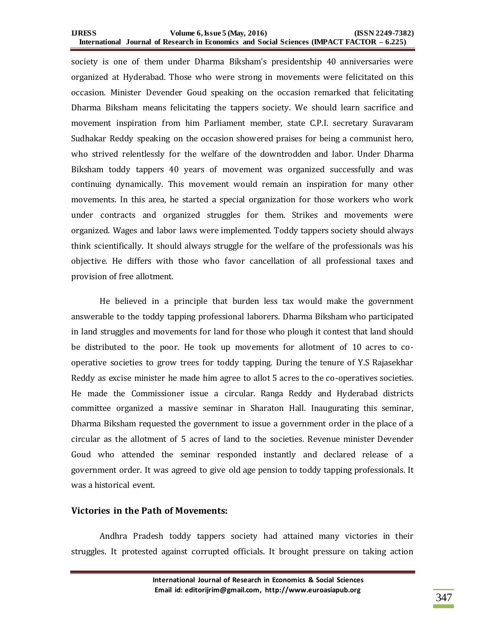#### **IJRESS Volume 6, Issue 5 (May, 2016) (ISSN 2249-7382) International Journal of Research in Economics and Social Sciences (IMPACT FACTOR – 6.225)**

society is one of them under Dharma Biksham's presidentship 40 anniversaries were organized at Hyderabad. Those who were strong in movements were felicitated on this occasion. Minister Devender Goud speaking on the occasion remarked that felicitating Dharma Biksham means felicitating the tappers society. We should learn sacrifice and movement inspiration from him Parliament member, state C.P.I. secretary Suravaram Sudhakar Reddy speaking on the occasion showered praises for being a communist hero, who strived relentlessly for the welfare of the downtrodden and labor. Under Dharma Biksham toddy tappers 40 years of movement was organized successfully and was continuing dynamically. This movement would remain an inspiration for many other movements. In this area, he started a special organization for those workers who work under contracts and organized struggles for them. Strikes and movements were organized. Wages and labor laws were implemented. Toddy tappers society should always think scientifically. It should always struggle for the welfare of the professionals was his objective. He differs with those who favor cancellation of all professional taxes and provision of free allotment.

He believed in a principle that burden less tax would make the government answerable to the toddy tapping professional laborers. Dharma Biksham who participated in land struggles and movements for land for those who plough it contest that land should be distributed to the poor. He took up movements for allotment of 10 acres to cooperative societies to grow trees for toddy tapping. During the tenure of Y.S Rajasekhar Reddy as excise minister he made him agree to allot 5 acres to the co-operatives societies. He made the Commissioner issue a circular. Ranga Reddy and Hyderabad districts committee organized a massive seminar in Sharaton Hall. Inaugurating this seminar, Dharma Biksham requested the government to issue a government order in the place of a circular as the allotment of 5 acres of land to the societies. Revenue minister Devender Goud who attended the seminar responded instantly and declared release of a government order. It was agreed to give old age pension to toddy tapping professionals. It was a historical event.

### **Victories in the Path of Movements:**

Andhra Pradesh toddy tappers society had attained many victories in their struggles. It protested against corrupted officials. It brought pressure on taking action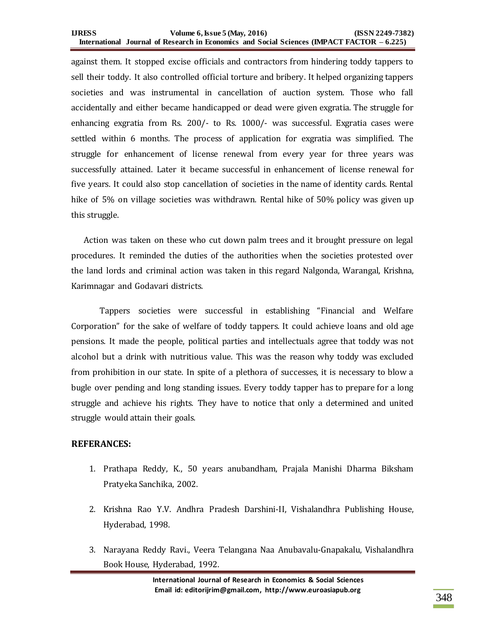against them. It stopped excise officials and contractors from hindering toddy tappers to sell their toddy. It also controlled official torture and bribery. It helped organizing tappers societies and was instrumental in cancellation of auction system. Those who fall accidentally and either became handicapped or dead were given exgratia. The struggle for enhancing exgratia from Rs. 200/- to Rs. 1000/- was successful. Exgratia cases were settled within 6 months. The process of application for exgratia was simplified. The struggle for enhancement of license renewal from every year for three years was successfully attained. Later it became successful in enhancement of license renewal for five years. It could also stop cancellation of societies in the name of identity cards. Rental hike of 5% on village societies was withdrawn. Rental hike of 50% policy was given up this struggle.

 Action was taken on these who cut down palm trees and it brought pressure on legal procedures. It reminded the duties of the authorities when the societies protested over the land lords and criminal action was taken in this regard Nalgonda, Warangal, Krishna, Karimnagar and Godavari districts.

Tappers societies were successful in establishing "Financial and Welfare Corporation" for the sake of welfare of toddy tappers. It could achieve loans and old age pensions. It made the people, political parties and intellectuals agree that toddy was not alcohol but a drink with nutritious value. This was the reason why toddy was excluded from prohibition in our state. In spite of a plethora of successes, it is necessary to blow a bugle over pending and long standing issues. Every toddy tapper has to prepare for a long struggle and achieve his rights. They have to notice that only a determined and united struggle would attain their goals.

## **REFERANCES:**

- 1. Prathapa Reddy, K., 50 years anubandham, Prajala Manishi Dharma Biksham Pratyeka Sanchika, 2002.
- 2. Krishna Rao Y.V. Andhra Pradesh Darshini-II, Vishalandhra Publishing House, Hyderabad, 1998.
- 3. Narayana Reddy Ravi., Veera Telangana Naa Anubavalu-Gnapakalu, Vishalandhra Book House, Hyderabad, 1992.